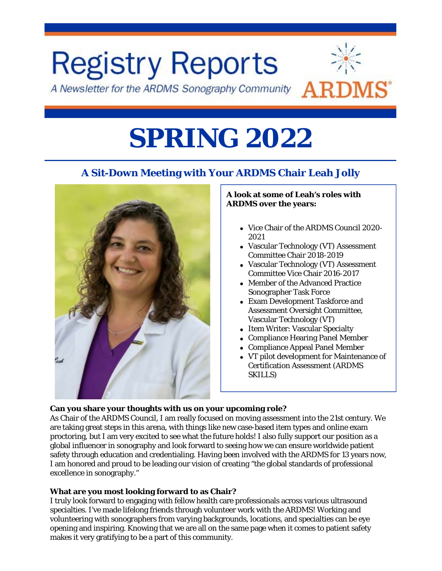

# **SPRING 2022**

# **A Sit-Down Meeting with Your ARDMS Chair Leah Jolly**



#### **A look at some of Leah's roles with ARDMS over the years:**

- Vice Chair of the ARDMS Council 2020-2021
- Vascular Technology (VT) Assessment Committee Chair 2018-2019
- Vascular Technology (VT) Assessment Committee Vice Chair 2016-2017
- Member of the Advanced Practice Sonographer Task Force
- Exam Development Taskforce and Assessment Oversight Committee, Vascular Technology (VT)
- Item Writer: Vascular Specialty
- Compliance Hearing Panel Member
- Compliance Appeal Panel Member
- VT pilot development for Maintenance of Certification Assessment (ARDMS SKILLS)

#### **Can you share your thoughts with us on your upcoming role?**

As Chair of the ARDMS Council, I am really focused on moving assessment into the 21st century. We are taking great steps in this arena, with things like new case-based item types and online exam proctoring, but I am very excited to see what the future holds! I also fully support our position as a global influencer in sonography and look forward to seeing how we can ensure worldwide patient safety through education and credentialing. Having been involved with the ARDMS for 13 years now, I am honored and proud to be leading our vision of creating "the global standards of professional excellence in sonography."

#### **What are you most looking forward to as Chair?**

I truly look forward to engaging with fellow health care professionals across various ultrasound specialties. I've made lifelong friends through volunteer work with the ARDMS! Working and volunteering with sonographers from varying backgrounds, locations, and specialties can be eye opening and inspiring. Knowing that we are all on the same page when it comes to patient safety makes it very gratifying to be a part of this community.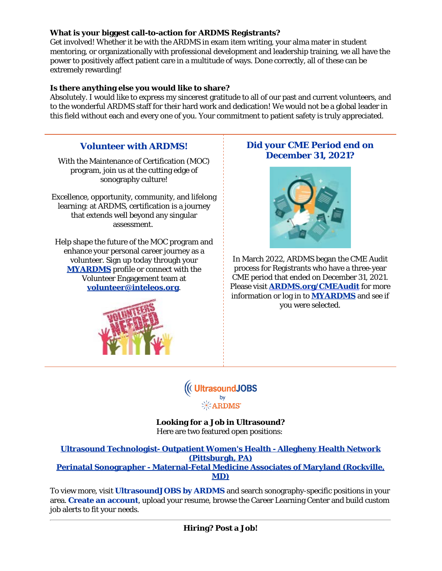#### **What is your biggest call-to-action for ARDMS Registrants?**

Get involved! Whether it be with the ARDMS in exam item writing, your alma mater in student mentoring, or organizationally with professional development and leadership training, we all have the power to positively affect patient care in a multitude of ways. Done correctly, all of these can be extremely rewarding!

#### **Is there anything else you would like to share?**

Absolutely. I would like to express my sincerest gratitude to all of our past and current volunteers, and to the wonderful ARDMS staff for their hard work and dedication! We would not be a global leader in this field without each and every one of you. Your commitment to patient safety is truly appreciated.

### **Volunteer with ARDMS!**

With the Maintenance of Certification (MOC) program, join us at the cutting edge of sonography culture!

Excellence, opportunity, community, and lifelong learning: at ARDMS, certification is a journey that extends well beyond any singular assessment.

Help shape the future of the MOC program and enhance your personal career journey as a volunteer. Sign up today through your **[MYARDMS](https://myardms.ardms.org/en-us/?utm_content=ARDMS)** profile or connect with the Volunteer Engagement team at **[volunteer@inteleos.org](mailto:volunteer@inteleos.org)**.



## **Did your CME Period end on December 31, 2021?**



In March 2022, ARDMS began the CME Audit process for Registrants who have a three-year CME period that ended on December 31, 2021. Please visit **[ARDMS.org/CMEAudit](https://www.ardms.org/maintain-certification/cme/cme-audit/?utm_content=ARDMS)** for more information or log in to **[MYARDMS](https://myardms.ardms.org/en-us/?utm_content=ARDMS)** and see if you were selected.

((CUItrasound JOBS)

**Looking for a Job in Ultrasound?** Here are two featured open positions:

#### **[Ultrasound Technologist- Outpatient Women's Health - Allegheny Health Network](https://ultrasoundjobs.ardms.org/jobs/16601501/ultrasound-technologist-outpatient-women-s-health?utm_content=ARDMS) [\(Pittsburgh, PA\)](https://ultrasoundjobs.ardms.org/jobs/16601501/ultrasound-technologist-outpatient-women-s-health?utm_content=ARDMS) [Perinatal Sonographer - Maternal-Fetal Medicine Associates of Maryland \(Rockville,](https://ultrasoundjobs.ardms.org/jobs/16560947/perinatal-sonographer?utm_content=ARDMS) [MD\)](https://ultrasoundjobs.ardms.org/jobs/16560947/perinatal-sonographer?utm_content=ARDMS)**

To view more, visit **[UltrasoundJOBS by ARDMS](https://ultrasoundjobs.ardms.org/?utm_content=ARDMS)** and search sonography-specific positions in your area. **[Create an account](http://www.ultrasoundjobs.com/jobseekers/profile/)**, upload your resume, browse the Career Learning Center and build custom job alerts to fit your needs.